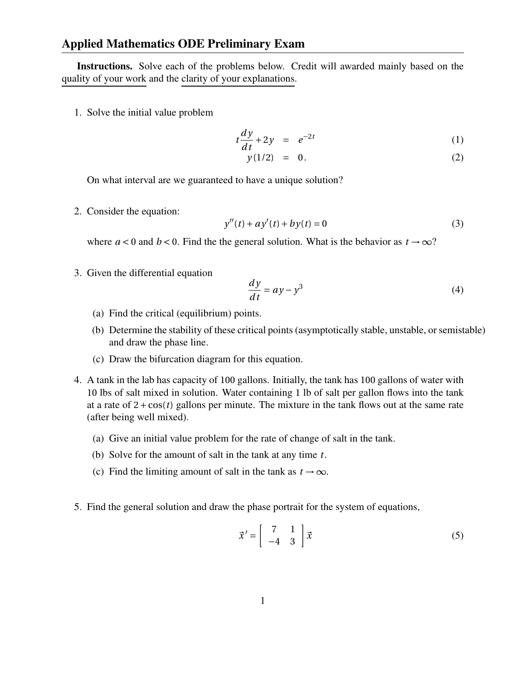Instructions. Solve each of the problems below. Credit will awarded mainly based on the quality of your work and the clarity of your explanations.

1. Solve the initial value problem

$$
t\frac{dy}{dt} + 2y = e^{-2t} \tag{1}
$$

$$
y(1/2) = 0. \t(2)
$$

On what interval are we guaranteed to have a unique solution?

2. Consider the equation:

$$
y''(t) + ay'(t) + by(t) = 0
$$
 (3)

where  $a < 0$  and  $b < 0$ . Find the the general solution. What is the behavior as  $t \to \infty$ ?

3. Given the differential equation

$$
\frac{dy}{dt} = ay - y^3\tag{4}
$$

- (a) Find the critical (equilibrium) points.
- (b) Determine the stability of these critical points (asymptotically stable, unstable, or semistable) and draw the phase line.
- (c) Draw the bifurcation diagram for this equation.
- 4. A tank in the lab has capacity of 100 gallons. Initially, the tank has 100 gallons of water with 10 lbs of salt mixed in solution. Water containing 1 lb of salt per gallon flows into the tank at a rate of  $2 + \cos(t)$  gallons per minute. The mixture in the tank flows out at the same rate (after being well mixed).
	- (a) Give an initial value problem for the rate of change of salt in the tank.
	- (b) Solve for the amount of salt in the tank at any time *t*.
	- (c) Find the limiting amount of salt in the tank as  $t \to \infty$ .
- 5. Find the general solution and draw the phase portrait for the system of equations,

$$
\vec{x}' = \begin{bmatrix} 7 & 1 \\ -4 & 3 \end{bmatrix} \vec{x}
$$
 (5)